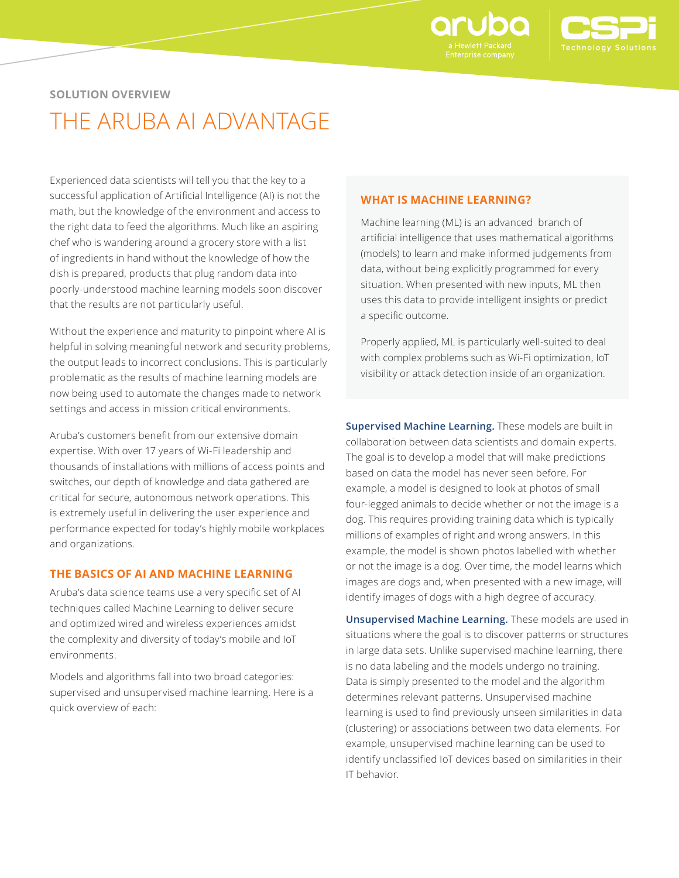

### **SOLUTION OVERVIEW**

# THE ARUBA AI ADVANTAGE

Experienced data scientists will tell you that the key to a successful application of Artificial Intelligence (AI) is not the math, but the knowledge of the environment and access to the right data to feed the algorithms. Much like an aspiring chef who is wandering around a grocery store with a list of ingredients in hand without the knowledge of how the dish is prepared, products that plug random data into poorly‑understood machine learning models soon discover that the results are not particularly useful.

Without the experience and maturity to pinpoint where AI is helpful in solving meaningful network and security problems, the output leads to incorrect conclusions. This is particularly problematic as the results of machine learning models are now being used to automate the changes made to network settings and access in mission critical environments.

Aruba's customers benefit from our extensive domain expertise. With over 17 years of Wi-Fi leadership and thousands of installations with millions of access points and switches, our depth of knowledge and data gathered are critical for secure, autonomous network operations. This is extremely useful in delivering the user experience and performance expected for today's highly mobile workplaces and organizations.

#### **THE BASICS OF AI AND MACHINE LEARNING**

Aruba's data science teams use a very specific set of AI techniques called Machine Learning to deliver secure and optimized wired and wireless experiences amidst the complexity and diversity of today's mobile and IoT environments.

Models and algorithms fall into two broad categories: supervised and unsupervised machine learning. Here is a quick overview of each:

#### **WHAT IS MACHINE LEARNING?**

Machine learning (ML) is an advanced branch of artificial intelligence that uses mathematical algorithms (models) to learn and make informed judgements from data, without being explicitly programmed for every situation. When presented with new inputs, ML then uses this data to provide intelligent insights or predict a specific outcome.

Properly applied, ML is particularly well-suited to deal with complex problems such as Wi-Fi optimization, IoT visibility or attack detection inside of an organization.

**Supervised Machine Learning.** These models are built in collaboration between data scientists and domain experts. The goal is to develop a model that will make predictions based on data the model has never seen before. For example, a model is designed to look at photos of small four-legged animals to decide whether or not the image is a dog. This requires providing training data which is typically millions of examples of right and wrong answers. In this example, the model is shown photos labelled with whether or not the image is a dog. Over time, the model learns which images are dogs and, when presented with a new image, will identify images of dogs with a high degree of accuracy.

**Unsupervised Machine Learning.** These models are used in situations where the goal is to discover patterns or structures in large data sets. Unlike supervised machine learning, there is no data labeling and the models undergo no training. Data is simply presented to the model and the algorithm determines relevant patterns. Unsupervised machine learning is used to find previously unseen similarities in data (clustering) or associations between two data elements. For example, unsupervised machine learning can be used to identify unclassified IoT devices based on similarities in their IT behavior.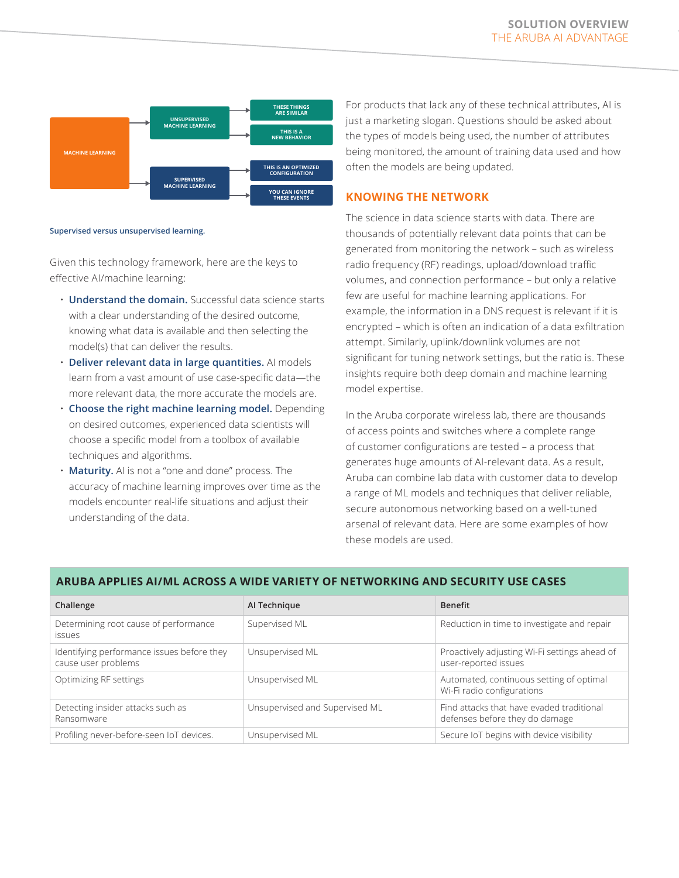

#### **Supervised versus unsupervised learning.**

Given this technology framework, here are the keys to effective AI/machine learning:

- **Understand the domain.** Successful data science starts with a clear understanding of the desired outcome, knowing what data is available and then selecting the model(s) that can deliver the results.
- **Deliver relevant data in large quantities.** AI models learn from a vast amount of use case-specific data—the more relevant data, the more accurate the models are.
- **Choose the right machine learning model.** Depending on desired outcomes, experienced data scientists will choose a specific model from a toolbox of available techniques and algorithms.
- **Maturity.** AI is not a "one and done" process. The accuracy of machine learning improves over time as the models encounter real-life situations and adjust their understanding of the data.

For products that lack any of these technical attributes, AI is just a marketing slogan. Questions should be asked about the types of models being used, the number of attributes being monitored, the amount of training data used and how often the models are being updated.

#### **KNOWING THE NETWORK**

The science in data science starts with data. There are thousands of potentially relevant data points that can be generated from monitoring the network – such as wireless radio frequency (RF) readings, upload/download traffic volumes, and connection performance – but only a relative few are useful for machine learning applications. For example, the information in a DNS request is relevant if it is encrypted – which is often an indication of a data exfiltration attempt. Similarly, uplink/downlink volumes are not significant for tuning network settings, but the ratio is. These insights require both deep domain and machine learning model expertise.

In the Aruba corporate wireless lab, there are thousands of access points and switches where a complete range of customer configurations are tested – a process that generates huge amounts of AI-relevant data. As a result, Aruba can combine lab data with customer data to develop a range of ML models and techniques that deliver reliable, secure autonomous networking based on a well-tuned arsenal of relevant data. Here are some examples of how these models are used.

| Challenge                                                         | Al Technique                   | <b>Benefit</b>                                                              |
|-------------------------------------------------------------------|--------------------------------|-----------------------------------------------------------------------------|
| Determining root cause of performance<br><i>issues</i>            | Supervised ML                  | Reduction in time to investigate and repair                                 |
| Identifying performance issues before they<br>cause user problems | Unsupervised ML                | Proactively adjusting Wi-Fi settings ahead of<br>user-reported issues       |
| Optimizing RF settings                                            | Unsupervised ML                | Automated, continuous setting of optimal<br>Wi-Fi radio configurations      |
| Detecting insider attacks such as<br>Ransomware                   | Unsupervised and Supervised ML | Find attacks that have evaded traditional<br>defenses before they do damage |
| Profiling never-before-seen IoT devices.                          | Unsupervised ML                | Secure IoT begins with device visibility                                    |

#### **ARUBA APPLIES AI/ML ACROSS A WIDE VARIETY OF NETWORKING AND SECURITY USE CASES**